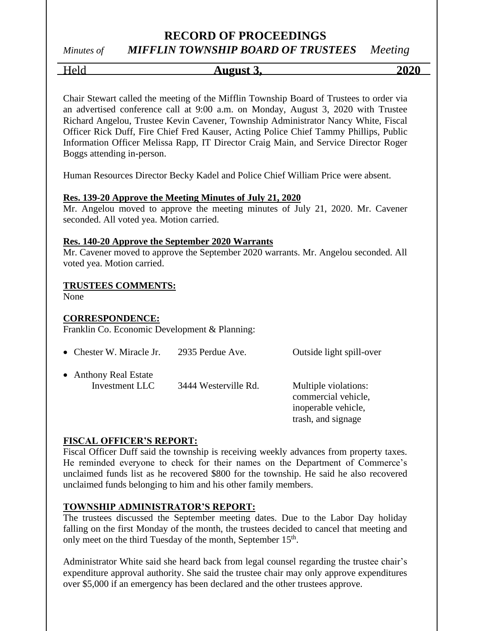## *Minutes of MIFFLIN TOWNSHIP BOARD OF TRUSTEES Meeting*

Held **August 3, 2020**

Chair Stewart called the meeting of the Mifflin Township Board of Trustees to order via an advertised conference call at 9:00 a.m. on Monday, August 3, 2020 with Trustee Richard Angelou, Trustee Kevin Cavener, Township Administrator Nancy White, Fiscal Officer Rick Duff, Fire Chief Fred Kauser, Acting Police Chief Tammy Phillips, Public Information Officer Melissa Rapp, IT Director Craig Main, and Service Director Roger Boggs attending in-person.

Human Resources Director Becky Kadel and Police Chief William Price were absent.

#### **Res. 139-20 Approve the Meeting Minutes of July 21, 2020**

Mr. Angelou moved to approve the meeting minutes of July 21, 2020. Mr. Cavener seconded. All voted yea. Motion carried.

#### **Res. 140-20 Approve the September 2020 Warrants**

Mr. Cavener moved to approve the September 2020 warrants. Mr. Angelou seconded. All voted yea. Motion carried.

#### **TRUSTEES COMMENTS:**

None

#### **CORRESPONDENCE:**

Franklin Co. Economic Development & Planning:

| • Chester W. Miracle Jr.                | 2935 Perdue Ave.     | Outside light spill-over                                                                 |
|-----------------------------------------|----------------------|------------------------------------------------------------------------------------------|
| • Anthony Real Estate<br>Investment LLC | 3444 Westerville Rd. | Multiple violations:<br>commercial vehicle,<br>inoperable vehicle,<br>trash, and signage |

#### **FISCAL OFFICER'S REPORT:**

Fiscal Officer Duff said the township is receiving weekly advances from property taxes. He reminded everyone to check for their names on the Department of Commerce's unclaimed funds list as he recovered \$800 for the township. He said he also recovered unclaimed funds belonging to him and his other family members.

#### **TOWNSHIP ADMINISTRATOR'S REPORT:**

The trustees discussed the September meeting dates. Due to the Labor Day holiday falling on the first Monday of the month, the trustees decided to cancel that meeting and only meet on the third Tuesday of the month, September 15<sup>th</sup>.

Administrator White said she heard back from legal counsel regarding the trustee chair's expenditure approval authority. She said the trustee chair may only approve expenditures over \$5,000 if an emergency has been declared and the other trustees approve.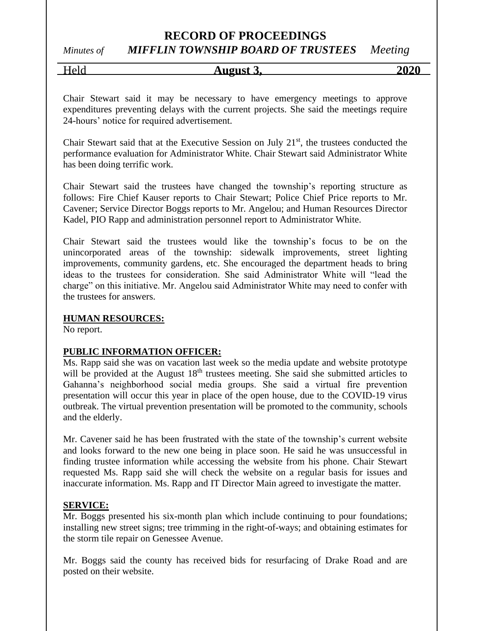# *Minutes of MIFFLIN TOWNSHIP BOARD OF TRUSTEES Meeting*

Held **August 3, 2020**

Chair Stewart said it may be necessary to have emergency meetings to approve expenditures preventing delays with the current projects. She said the meetings require 24-hours' notice for required advertisement.

Chair Stewart said that at the Executive Session on July  $21<sup>st</sup>$ , the trustees conducted the performance evaluation for Administrator White. Chair Stewart said Administrator White has been doing terrific work.

Chair Stewart said the trustees have changed the township's reporting structure as follows: Fire Chief Kauser reports to Chair Stewart; Police Chief Price reports to Mr. Cavener; Service Director Boggs reports to Mr. Angelou; and Human Resources Director Kadel, PIO Rapp and administration personnel report to Administrator White.

Chair Stewart said the trustees would like the township's focus to be on the unincorporated areas of the township: sidewalk improvements, street lighting improvements, community gardens, etc. She encouraged the department heads to bring ideas to the trustees for consideration. She said Administrator White will "lead the charge" on this initiative. Mr. Angelou said Administrator White may need to confer with the trustees for answers.

#### **HUMAN RESOURCES:**

No report.

#### **PUBLIC INFORMATION OFFICER:**

Ms. Rapp said she was on vacation last week so the media update and website prototype will be provided at the August 18<sup>th</sup> trustees meeting. She said she submitted articles to Gahanna's neighborhood social media groups. She said a virtual fire prevention presentation will occur this year in place of the open house, due to the COVID-19 virus outbreak. The virtual prevention presentation will be promoted to the community, schools and the elderly.

Mr. Cavener said he has been frustrated with the state of the township's current website and looks forward to the new one being in place soon. He said he was unsuccessful in finding trustee information while accessing the website from his phone. Chair Stewart requested Ms. Rapp said she will check the website on a regular basis for issues and inaccurate information. Ms. Rapp and IT Director Main agreed to investigate the matter.

#### **SERVICE:**

Mr. Boggs presented his six-month plan which include continuing to pour foundations; installing new street signs; tree trimming in the right-of-ways; and obtaining estimates for the storm tile repair on Genessee Avenue.

Mr. Boggs said the county has received bids for resurfacing of Drake Road and are posted on their website.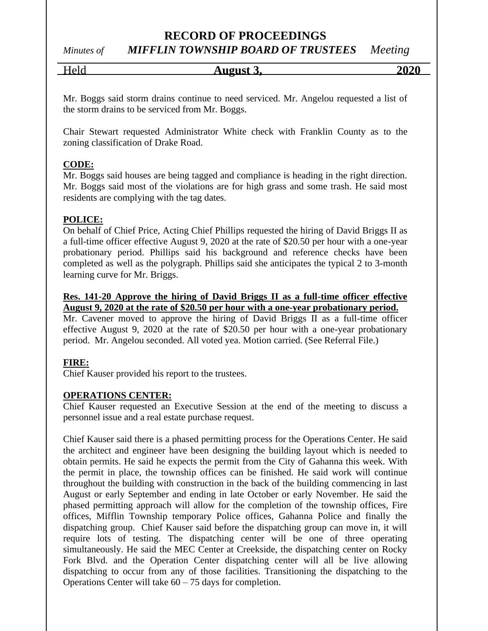*Minutes of MIFFLIN TOWNSHIP BOARD OF TRUSTEES Meeting*

Held **August 3, 2020**

Mr. Boggs said storm drains continue to need serviced. Mr. Angelou requested a list of the storm drains to be serviced from Mr. Boggs.

Chair Stewart requested Administrator White check with Franklin County as to the zoning classification of Drake Road.

#### **CODE:**

Mr. Boggs said houses are being tagged and compliance is heading in the right direction. Mr. Boggs said most of the violations are for high grass and some trash. He said most residents are complying with the tag dates.

#### **POLICE:**

On behalf of Chief Price, Acting Chief Phillips requested the hiring of David Briggs II as a full-time officer effective August 9, 2020 at the rate of \$20.50 per hour with a one-year probationary period. Phillips said his background and reference checks have been completed as well as the polygraph. Phillips said she anticipates the typical 2 to 3-month learning curve for Mr. Briggs.

#### **Res. 141-20 Approve the hiring of David Briggs II as a full-time officer effective August 9, 2020 at the rate of \$20.50 per hour with a one-year probationary period.**

Mr. Cavener moved to approve the hiring of David Briggs II as a full-time officer effective August 9, 2020 at the rate of \$20.50 per hour with a one-year probationary period. Mr. Angelou seconded. All voted yea. Motion carried. (See Referral File.)

#### **FIRE:**

Chief Kauser provided his report to the trustees.

#### **OPERATIONS CENTER:**

Chief Kauser requested an Executive Session at the end of the meeting to discuss a personnel issue and a real estate purchase request.

Chief Kauser said there is a phased permitting process for the Operations Center. He said the architect and engineer have been designing the building layout which is needed to obtain permits. He said he expects the permit from the City of Gahanna this week. With the permit in place, the township offices can be finished. He said work will continue throughout the building with construction in the back of the building commencing in last August or early September and ending in late October or early November. He said the phased permitting approach will allow for the completion of the township offices, Fire offices, Mifflin Township temporary Police offices, Gahanna Police and finally the dispatching group. Chief Kauser said before the dispatching group can move in, it will require lots of testing. The dispatching center will be one of three operating simultaneously. He said the MEC Center at Creekside, the dispatching center on Rocky Fork Blvd. and the Operation Center dispatching center will all be live allowing dispatching to occur from any of those facilities. Transitioning the dispatching to the Operations Center will take  $60 - 75$  days for completion.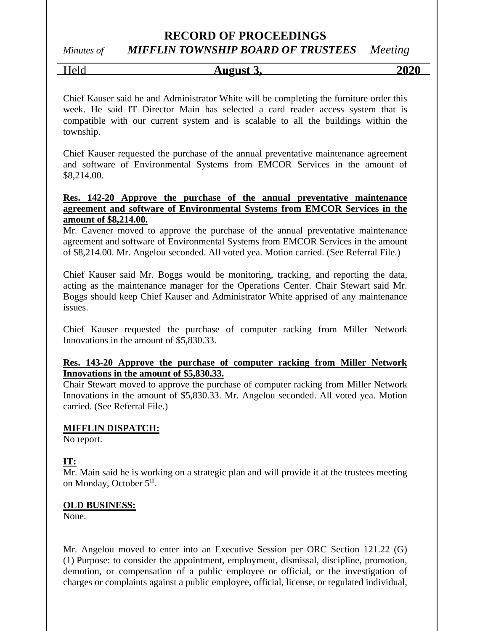# *Minutes of MIFFLIN TOWNSHIP BOARD OF TRUSTEES Meeting*

Held **August 3, 2020**

Chief Kauser said he and Administrator White will be completing the furniture order this week. He said IT Director Main has selected a card reader access system that is compatible with our current system and is scalable to all the buildings within the township.

Chief Kauser requested the purchase of the annual preventative maintenance agreement and software of Environmental Systems from EMCOR Services in the amount of \$8,214.00.

#### **Res. 142-20 Approve the purchase of the annual preventative maintenance agreement and software of Environmental Systems from EMCOR Services in the amount of \$8,214.00.**

Mr. Cavener moved to approve the purchase of the annual preventative maintenance agreement and software of Environmental Systems from EMCOR Services in the amount of \$8,214.00. Mr. Angelou seconded. All voted yea. Motion carried. (See Referral File.)

Chief Kauser said Mr. Boggs would be monitoring, tracking, and reporting the data, acting as the maintenance manager for the Operations Center. Chair Stewart said Mr. Boggs should keep Chief Kauser and Administrator White apprised of any maintenance issues.

Chief Kauser requested the purchase of computer racking from Miller Network Innovations in the amount of \$5,830.33.

#### **Res. 143-20 Approve the purchase of computer racking from Miller Network Innovations in the amount of \$5,830.33.**

Chair Stewart moved to approve the purchase of computer racking from Miller Network Innovations in the amount of \$5,830.33. Mr. Angelou seconded. All voted yea. Motion carried. (See Referral File.)

#### **MIFFLIN DISPATCH:**

No report.

#### **IT:**

Mr. Main said he is working on a strategic plan and will provide it at the trustees meeting on Monday, October 5<sup>th</sup>.

#### **OLD BUSINESS:**

None.

Mr. Angelou moved to enter into an Executive Session per ORC Section 121.22 (G) (1) Purpose: to consider the appointment, employment, dismissal, discipline, promotion, demotion, or compensation of a public employee or official, or the investigation of charges or complaints against a public employee, official, license, or regulated individual,